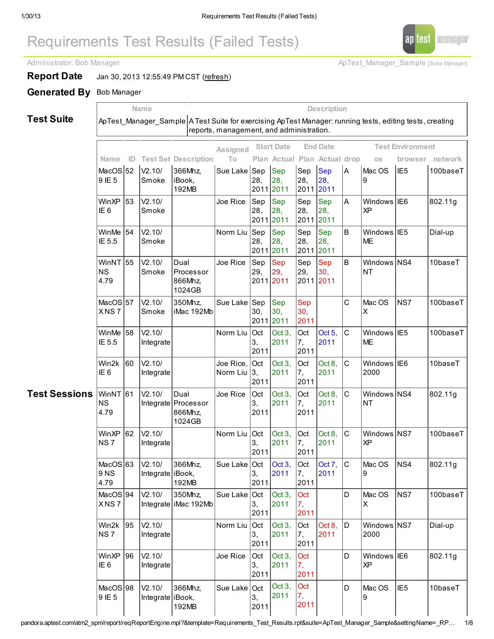# Requirements Test Results (Failed Tests)

Administrator: Bob Manager ApTest Manager ApTest Manager Sample [Suite Manager]

ap test manager

**Report Date** Jan 30, 2013 12:55:49 PM CST ([refresh](http://pandora.aptest.com/atm2_spm/report/reqReportEngine.mpl?next=1&reportName=Failed%20Tests&template=Requirements_Test_Results.rpt&settingName=_RPT_A781CDEC-6B0E-11E2-B5DE-AF5417FAD3A5&suite=ApTest_Manager_Sample&sessList=52,53,54,55,57,58,60,61,62,63,94,95,96,98,102&qEngine_ADF87D88-6B0E-11E2-86D3-C45417FAD3A5)) Generated By Bob Manager

X NS 7

Win2k NS 7

WinXP IE 6

MacOS<sub>198</sub> 9 IE 5

95 V2.10/ Integrate

96 V2.10/ Integrate

 $V2.10/$ 

Integrate | iBook,

366Mhz,

192MB

Integrate iMac 192Mb

Test Suite

Name Description ApTest\_Manager\_Sample A Test Suite for exercising ApTest Manager: running tests, editing tests, creating reports, management, and administration. Test Sessions Name ID Test Set Description Assigned To Start Date End Date Test Environment Plan Actual Plan Actual drop os browser network MacOS<sub>52</sub> 9 IE 5  $V2.10/$ Smoke 366Mhz, iBook, 192MB Sue Lake Sep 28, 2011 Sep 28, 2011 lSep 28, 2011 Sep 28, 2011 A Mac OS 9 IE5 100baseT **WinXP** IE 6 53 V2.10/ Smoke Joe Rice |Sep 28, 2011 Sep 28, 2011 Sep 28, 2011 Sep 28, 2011 A Windows XP IE6 802.11g **WinMe** IE 5.5 54 V2.10/ Smoke Norm Liu |Sep 28, 2011 2011 Sep 28, Sep 28, 2011 Sep 28, 2011 B **Windows** IIE5 **ME** Dial-up WinNT NS 4.79 55 V2.10/ Smoke Dual Processor 866Mhz, 1024GB Joe Rice SSep 29, 2011 2011 Sep 29, Sep 29, 2011 2011 Sep 30, B | Windows | NS4 NT  $10<sub>base</sub>$ **MacOS** X NS 7 57 V2.10/ Smoke 350Mhz, iMac 192Mb Sue Lake |Sep 30, 2011 Sep 30, 2011 Sep 30, 2011 C | Mac OS X NS7 |100baseT WinMe IE 5.5 58 V2.10/ Integrate Norm Liu Oct 3, 2011 Oct 3, 2011 Oct 7, 2011 Oct 5, 2011 C Windows ME IE5 | 100baseT Win2k IE 6 60 V2.10/ Integrate Joe Rice, Norm Liu Oct 3, 2011 Oct 3, 2011 Oct 7, 2011 Oct 8, 2011 C | Windows | IE6 2000  $10$ base $T$ WinNT NS 4.79 61 V2.10/ Integrate Processor Dual 866Mhz, 1024GB Joe Rice |Oct 3, 2011 Oct 3, 2011 Oct 7, 2011 Oct 8, 2011 C | Windows | NS4 NT 802.11g WinXP NS 7 62 V2.10/ Integrate Norm Liu Oct 3, 2011 Oct 3, 2011 **Oct** 7, 2011 Oct 8, 2011 C | Windows | NS7 XP  $100$ base $T$ **MacOS** 9 NS 4.79 63 V2.10/ Integrate iBook, 366Mhz, 192MB Sue Lake |Oct 3, 2011 Oct 3, 2011 Oct 7, 2011 Oct 7, 2011 C Mac OS  $\mathsf{Q}$ NS4 | 802.11g MacOS 94  $V2.10/$ 350Mhz, Sue Lake lOct Oct 3, **Oct** D Mac OS NS7 100baseT

3, 2011

3, 2011

3, 2011

3, 2011

Norm Liu Oct

Joe Rice Oct

Sue Lake Oct

2011

Oct 3, 2011

Oct 3, 2011

Oct 3, 2011

7, 2011

**Oct** 7, 2011

**Oct** 7, 2011

**Oct** 7, 2011 Oct 8, 2011

X

D | Windows NS7 2000

D | Windows | IE6 XP

D **Mac OS** 9

Dial-up

802.11g

IE5 10baseT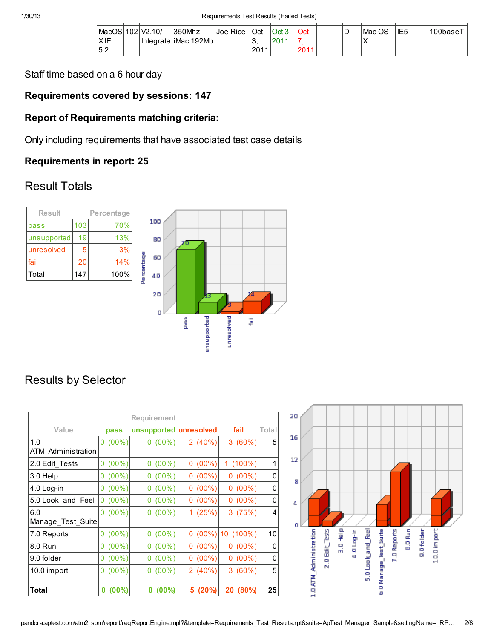| MacOS 102 V2.10/ |  | 1350Mhz                 | Joe Rice | IOct | $\vert$ Oct 3. | <b>IOct</b> | D | lMac OS | IIE5 | '100basel |
|------------------|--|-------------------------|----------|------|----------------|-------------|---|---------|------|-----------|
| <b>XIE</b>       |  | Integrate liMac 192Mb l |          | رب   |                |             |   | v<br>↗  |      |           |
| 5.2              |  |                         |          | 2011 |                | 2011        |   |         |      |           |

Staff time based on a 6 hour day

#### Requirements covered by sessions: 147

#### Report of Requirements matching criteria:

Only including requirements that have associated test case details

#### Requirements in report: 25

#### Result Totals



# Results by Selector

|                           |               | Requirement            |            |            |       |
|---------------------------|---------------|------------------------|------------|------------|-------|
| Value                     | pass          | unsupported unresolved |            | fail       | Total |
| 1.0<br>ATM Administration | $0(00\%)$     | $0(00\%)$              | 2 $(40\%)$ | 3(60%)     | 5     |
| 2.0 Edit Tests            | $0(00\%)$     | $0(00\%)$              | $0(00\%)$  | $1(100\%)$ | 1     |
| 3.0 Help                  | $(00\%)$<br>0 | $0(00\%)$              | $0(00\%)$  | $0(00\%)$  | 0     |
| 4.0 Log-in                | $0(00\%)$     | $0(00\%)$              | $0(00\%)$  | $0(00\%)$  | 0     |
| 5.0 Look_and_Feel         | $0(00\%)$     | $0(00\%)$              | $0(00\%)$  | $0(00\%)$  | 0     |
| 6.0<br>Manage_Test_Suite  | $0(00\%)$     | $0(00\%)$              | 1(25%)     | 3(75%)     | 4     |
| 7.0 Reports               | $0(00\%)$     | $0(00\%)$              | $0(00\%)$  | 10 (100%)  | 10    |
| 8.0 Run                   | $0(00\%)$     | $0(00\%)$              | $0(00\%)$  | $0(00\%)$  | 0     |
| 9.0 folder                | $(00\%)$<br>0 | $0(00\%)$              | $0(00\%)$  | $0(00\%)$  | 0     |
| 10.0 import               | $(00\%)$<br>0 | $0(00\%)$              | 2(40%)     | 3(60%)     | 5     |
| Total                     | $(00\%)$<br>0 | $(00\%)$<br>0          | 5 (20%)    | 20 (80%)   | 25    |

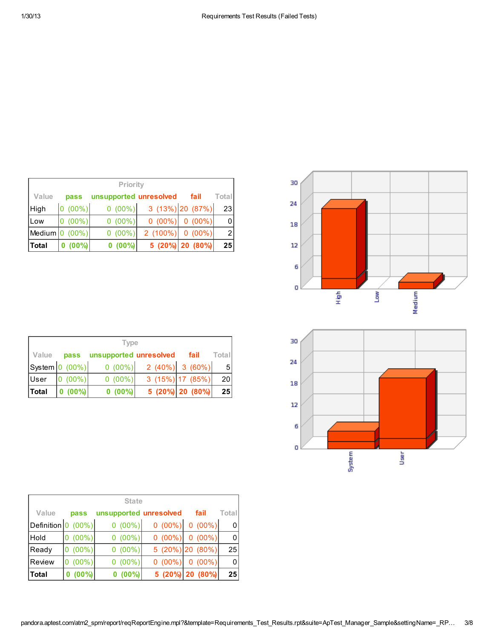|            | Priority  |                        |            |                    |                 |  |  |  |  |  |  |
|------------|-----------|------------------------|------------|--------------------|-----------------|--|--|--|--|--|--|
| Value      | pass      | unsupported unresolved |            | fail               | Total           |  |  |  |  |  |  |
| High       | $(00\%)$  | $0(00\%)$              |            | $3(13\%)$ 20 (87%) | 23 <sub>1</sub> |  |  |  |  |  |  |
| <b>Low</b> | $0(00\%)$ | $0(00\%)$              | $0(00\%)$  | $0(00\%)$          | 0               |  |  |  |  |  |  |
| Medium 0   | $(00\%)$  | $0(00\%)$              | $2(100\%)$ | $0(00\%)$          | $\overline{2}$  |  |  |  |  |  |  |
| Total      | $(00\%)$  | $0(00\%)$              |            | 5 (20%) 20 (80%)   | 25              |  |  |  |  |  |  |

|       | <b>Type</b>            |                        |                   |                    |                 |  |  |  |  |  |  |  |
|-------|------------------------|------------------------|-------------------|--------------------|-----------------|--|--|--|--|--|--|--|
| Value | pass                   | unsupported unresolved |                   | fail               | Totall          |  |  |  |  |  |  |  |
|       | $ S$ ystem $ 0(00\%) $ | $0(00\%)$              | $2(40\%)$ 3 (60%) |                    | -5 I            |  |  |  |  |  |  |  |
| User  | $0(00\%)$              | $0(00\%)$              |                   | $3(15\%)$ 17 (85%) | 20 <sup>1</sup> |  |  |  |  |  |  |  |
| Total | $0 (00\%)$             | $0(00\%)$              |                   | 5 (20%) 20 (80%)   | 25 <sub>l</sub> |  |  |  |  |  |  |  |

| <b>State</b>             |               |                        |           |                  |          |  |  |  |  |  |  |
|--------------------------|---------------|------------------------|-----------|------------------|----------|--|--|--|--|--|--|
| Value                    | pass          | unsupported unresolved |           | fail             | Total    |  |  |  |  |  |  |
| Definition <sup>10</sup> | $(00\%)$      | $0(00\%)$              | $0(00\%)$ | $0(00\%)$        | 0        |  |  |  |  |  |  |
| Hold                     | $(00\%)$      | $0(00\%)$              | $0(00\%)$ | $0(00\%)$        | $\Omega$ |  |  |  |  |  |  |
| Ready                    | $(00\%)$      | $0(00\%)$              |           | 5 (20%) 20 (80%) | 25       |  |  |  |  |  |  |
| Review                   | $(00\%)$      | $0(00\%)$              | $0(00\%)$ | $0(00\%)$        | 0        |  |  |  |  |  |  |
| ∣Total                   | $(00\%)$<br>0 | $0(00\%)$              |           | 5 (20%) 20 (80%) | 25       |  |  |  |  |  |  |



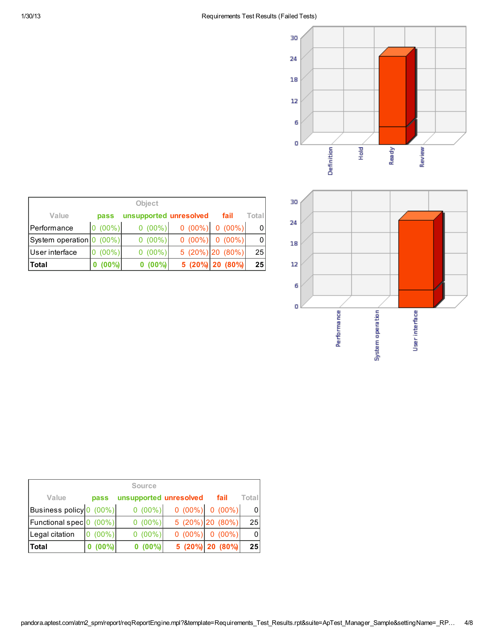



| <b>Object</b>            |               |                        |           |                      |       |  |  |  |  |  |  |  |
|--------------------------|---------------|------------------------|-----------|----------------------|-------|--|--|--|--|--|--|--|
| Value                    | pass          | unsupported unresolved |           | fail                 | Total |  |  |  |  |  |  |  |
| Performance              | $0(00\%)$     | $0(00\%)$              |           | $0(00\%)$ 0 $(00\%)$ | 0     |  |  |  |  |  |  |  |
| System operation 0 (00%) |               | $0(00\%)$              | $0(00\%)$ | $0(00\%)$            | 0     |  |  |  |  |  |  |  |
| User interface           | $(00\%)$<br>0 | $0(00\%)$              |           | $5(20\%)$ 20 (80%)   | 25    |  |  |  |  |  |  |  |
| Total                    | $(00\%)$      | $(00\%)$               |           | 5 (20%) 20 (80%)     | 25    |  |  |  |  |  |  |  |

| <b>Source</b>                |          |                        |           |                      |       |  |  |  |  |  |  |
|------------------------------|----------|------------------------|-----------|----------------------|-------|--|--|--|--|--|--|
| Value                        | pass     | unsupported unresolved |           | fail                 | Total |  |  |  |  |  |  |
| Business policy 0 (00%)      |          | $0(00\%)$              |           | $0(00\%)$ 0 $(00\%)$ |       |  |  |  |  |  |  |
| Functional spec <sup>o</sup> | $(00\%)$ | $0(00\%)$              |           | $5(20\%)$ 20 (80%)   | 25    |  |  |  |  |  |  |
| Legal citation               | $(00\%)$ | $0(00\%)$              | $0(00\%)$ | $0(00\%)$            | 0     |  |  |  |  |  |  |
| <b>Total</b>                 | $(00\%)$ | $(00\%)$               |           | 5 (20%) 20 (80%)     | 25    |  |  |  |  |  |  |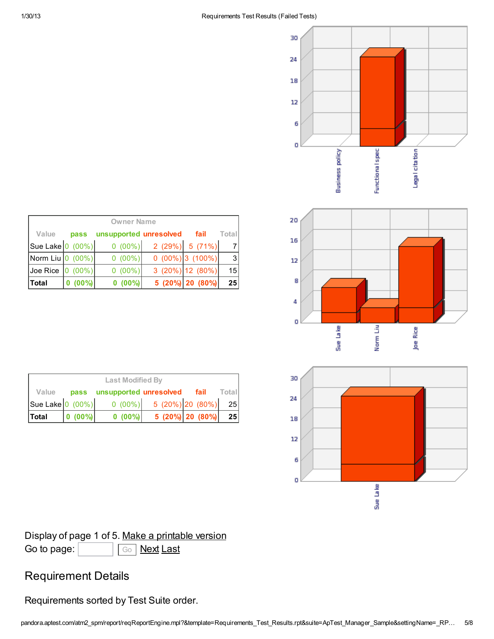





| <b>Owner Name</b>                        |           |                        |  |                    |           |  |  |  |  |  |  |
|------------------------------------------|-----------|------------------------|--|--------------------|-----------|--|--|--|--|--|--|
| Value                                    | pass      | unsupported unresolved |  | fail               | Total     |  |  |  |  |  |  |
| Sue Lake $ 0(00\%) $                     |           | $0(00\%)$              |  | $2(29\%)$ 5 (71%)  |           |  |  |  |  |  |  |
| Norm Liu $ 0 (00\%) $                    |           | $0(00\%)$              |  | $0(00\%)$ 3 (100%) | $\vert$ 3 |  |  |  |  |  |  |
| $\vert$ Joe Rice $\vert$ 0 (00%) $\vert$ |           | $0(00\%)$              |  | $3(20\%)$ 12 (80%) | 15        |  |  |  |  |  |  |
| Total                                    | $0(00\%)$ | $(00\%)$               |  | 5 (20%) 20 (80%)   | 25        |  |  |  |  |  |  |

| <b>Last Modified By</b>               |              |                             |                            |                  |                 |  |  |  |  |  |
|---------------------------------------|--------------|-----------------------------|----------------------------|------------------|-----------------|--|--|--|--|--|
| Value                                 |              | pass unsupported unresolved |                            | fail             | Total           |  |  |  |  |  |
| Sue Lake $\vert 0 \vert (00\%) \vert$ |              |                             | $0(00\%)$ 5 (20%) 20 (80%) |                  | 25              |  |  |  |  |  |
| <b>Total</b>                          | $ 0 (00\%) $ | $0(00\%)$                   |                            | 5 (20%) 20 (80%) | 25 <sup>2</sup> |  |  |  |  |  |

# Display of page 1 of 5. Make a [printable](http://pandora.aptest.com/atm2_spm/report/reqReportEngine.mpl?next=1&reportName=Failed%20Tests&template=Requirements_Test_Results.rpt&settingName=_RPT_A781CDEC-6B0E-11E2-B5DE-AF5417FAD3A5&suite=ApTest_Manager_Sample&sessList=52,53,54,55,57,58,60,61,62,63,94,95,96,98,102&cachedData=reqEngine_ADF87D88-6B0E-11E2-86D3-C45417FAD3A5&printable=1&page=0) version Go to page: Go [Next](http://pandora.aptest.com/atm2_spm/report/reqReportEngine.mpl?next=1&reportName=Failed%20Tests&template=Requirements_Test_Results.rpt&settingName=_RPT_A781CDEC-6B0E-11E2-B5DE-AF5417FAD3A5&suite=ApTest_Manager_Sample&sessList=52,53,54,55,57,58,60,61,62,63,94,95,96,98,102&cachedData=reqEngine_ADF87D88-6B0E-11E2-86D3-C45417FAD3A5&page=1) [Last](http://pandora.aptest.com/atm2_spm/report/reqReportEngine.mpl?next=1&reportName=Failed%20Tests&template=Requirements_Test_Results.rpt&settingName=_RPT_A781CDEC-6B0E-11E2-B5DE-AF5417FAD3A5&suite=ApTest_Manager_Sample&sessList=52,53,54,55,57,58,60,61,62,63,94,95,96,98,102&cachedData=reqEngine_ADF87D88-6B0E-11E2-86D3-C45417FAD3A5&page=4)

# Requirement Details

Requirements sorted by Test Suite order.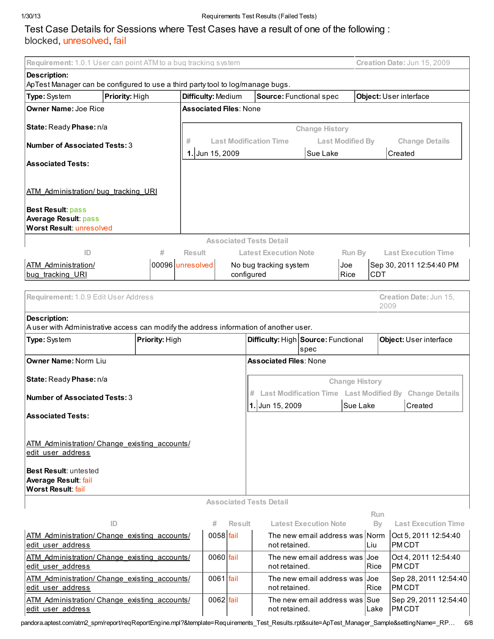### Test Case Details for Sessions where Test Cases have a result of one of the following : blocked, unresolved, fail

| Requirement: 1.0.1 User can point ATM to a bug tracking system                                                                             |                |                               |               |                                |                                                 |                         |                       |             |                        | Creation Date: Jun 15, 2009                            |
|--------------------------------------------------------------------------------------------------------------------------------------------|----------------|-------------------------------|---------------|--------------------------------|-------------------------------------------------|-------------------------|-----------------------|-------------|------------------------|--------------------------------------------------------|
| <b>Description:</b>                                                                                                                        |                |                               |               |                                |                                                 |                         |                       |             |                        |                                                        |
| ApTest Manager can be configured to use a third party tool to log/manage bugs.                                                             |                |                               |               |                                |                                                 |                         |                       |             |                        |                                                        |
| Priority: High<br>Type: System                                                                                                             |                | Difficulty: Medium            |               |                                | Source: Functional spec                         |                         |                       |             | Object: User interface |                                                        |
| <b>Owner Name: Joe Rice</b>                                                                                                                |                | <b>Associated Files: None</b> |               |                                |                                                 |                         |                       |             |                        |                                                        |
|                                                                                                                                            |                |                               |               |                                |                                                 |                         |                       |             |                        |                                                        |
| State: Ready Phase: n/a                                                                                                                    |                |                               |               |                                |                                                 | <b>Change History</b>   |                       |             |                        |                                                        |
| <b>Number of Associated Tests: 3</b>                                                                                                       |                |                               |               | <b>Last Modification Time</b>  |                                                 | <b>Last Modified By</b> | <b>Change Details</b> |             |                        |                                                        |
| <b>Associated Tests:</b>                                                                                                                   |                | 1. Jun 15, 2009               |               |                                |                                                 | Sue Lake                |                       |             | Created                |                                                        |
|                                                                                                                                            |                |                               |               |                                |                                                 |                         |                       |             |                        |                                                        |
| ATM Administration/bug tracking URI                                                                                                        |                |                               |               |                                |                                                 |                         |                       |             |                        |                                                        |
|                                                                                                                                            |                |                               |               |                                |                                                 |                         |                       |             |                        |                                                        |
| <b>Best Result: pass</b>                                                                                                                   |                |                               |               |                                |                                                 |                         |                       |             |                        |                                                        |
| <b>Average Result: pass</b><br><b>Worst Result: unresolved</b>                                                                             |                |                               |               |                                |                                                 |                         |                       |             |                        |                                                        |
|                                                                                                                                            |                |                               |               | <b>Associated Tests Detail</b> |                                                 |                         |                       |             |                        |                                                        |
| ID                                                                                                                                         | #              | <b>Result</b>                 |               |                                | <b>Latest Execution Note</b>                    |                         | Run By                |             |                        | <b>Last Execution Time</b>                             |
| ATM Administration/                                                                                                                        |                | 00096 unresolved              |               | No bug tracking system         |                                                 | Joe                     |                       |             |                        | Sep 30, 2011 12:54:40 PM                               |
| bug tracking URI                                                                                                                           |                |                               |               | configured                     |                                                 | Rice                    |                       | <b>CDT</b>  |                        |                                                        |
| Requirement: 1.0.9 Edit User Address                                                                                                       |                |                               |               |                                |                                                 |                         |                       |             |                        | Creation Date: Jun 15,                                 |
|                                                                                                                                            |                |                               |               |                                |                                                 |                         |                       | 2009        |                        |                                                        |
| <b>Description:</b>                                                                                                                        |                |                               |               |                                |                                                 |                         |                       |             |                        |                                                        |
| Auser with Administrative access can modify the address information of another user.                                                       |                |                               |               |                                |                                                 |                         |                       |             |                        |                                                        |
| Type: System                                                                                                                               | Priority: High |                               |               |                                | Difficulty: High Source: Functional             |                         |                       |             |                        | Object: User interface                                 |
| Owner Name: Norm Liu                                                                                                                       |                |                               |               |                                | spec<br><b>Associated Files: None</b>           |                         |                       |             |                        |                                                        |
|                                                                                                                                            |                |                               |               |                                |                                                 |                         |                       |             |                        |                                                        |
| State: Ready Phase: n/a                                                                                                                    |                |                               |               | <b>Change History</b>          |                                                 |                         |                       |             |                        |                                                        |
| <b>Number of Associated Tests: 3</b>                                                                                                       |                |                               |               |                                |                                                 |                         |                       |             |                        | Last Modification Time Last Modified By Change Details |
|                                                                                                                                            |                |                               |               | 1. Jun 15, 2009                |                                                 |                         | Sue Lake              |             | Created                |                                                        |
| <b>Associated Tests:</b>                                                                                                                   |                |                               |               |                                |                                                 |                         |                       |             |                        |                                                        |
|                                                                                                                                            |                |                               |               |                                |                                                 |                         |                       |             |                        |                                                        |
| ATM Administration/ Change existing accounts/<br>edit user address                                                                         |                |                               |               |                                |                                                 |                         |                       |             |                        |                                                        |
|                                                                                                                                            |                |                               |               |                                |                                                 |                         |                       |             |                        |                                                        |
| <b>Best Result:</b> untested                                                                                                               |                |                               |               |                                |                                                 |                         |                       |             |                        |                                                        |
| Average Result: fail<br>Worst Result: fail                                                                                                 |                |                               |               |                                |                                                 |                         |                       |             |                        |                                                        |
|                                                                                                                                            |                |                               |               | <b>Associated Tests Detail</b> |                                                 |                         |                       |             |                        |                                                        |
|                                                                                                                                            |                |                               |               |                                |                                                 |                         |                       | <b>Run</b>  |                        |                                                        |
| ID                                                                                                                                         |                | #                             | <b>Result</b> |                                | <b>Latest Execution Note</b>                    |                         |                       | By          |                        | <b>Last Execution Time</b>                             |
| ATM Administration/ Change existing accounts/<br>edit user address                                                                         |                |                               | 0058 fail     |                                | The new email address was Norm<br>not retained. |                         |                       | Liu         | <b>PMCDT</b>           | Oct 5, 2011 12:54:40                                   |
| ATM Administration/ Change existing accounts/                                                                                              |                |                               | $0060$ fail   |                                | The new email address was Uoe                   |                         |                       |             |                        | Oct 4, 2011 12:54:40                                   |
| edit user address                                                                                                                          |                |                               |               |                                | not retained.                                   |                         |                       | Rice        | <b>PMCDT</b>           |                                                        |
| ATM Administration/ Change existing accounts/<br>edit user address                                                                         |                |                               | $0061$ fail   |                                | The new email address was I<br>not retained.    |                         |                       | Joe<br>Rice | <b>PMCDT</b>           | Sep 28, 2011 12:54:40                                  |
| ATM Administration/ Change existing accounts/<br>edit user address                                                                         |                |                               | $0062$ fail   |                                | The new email address was Sue<br>not retained.  |                         |                       | Lake        | PMCDT                  | Sep 29, 2011 12:54:40                                  |
| pandora.aptest.com/atm2_spm/report/reqReportEngine.mpl?&template=Requirements_Test_Results.rpt&suite=ApTest_Manager_Sample&settingName=_RP |                |                               |               |                                |                                                 |                         |                       |             |                        |                                                        |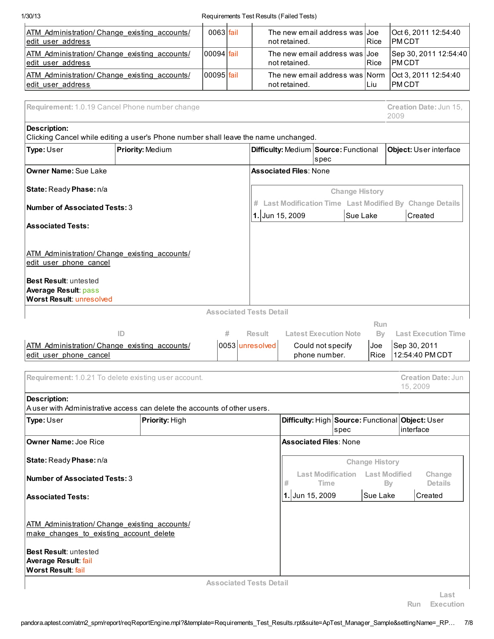| 1/30/13                                                                                 |                                                                                     |             |   | Requirements Test Results (Failed Tests) |                               |                                                |          |                         |                                                                     |
|-----------------------------------------------------------------------------------------|-------------------------------------------------------------------------------------|-------------|---|------------------------------------------|-------------------------------|------------------------------------------------|----------|-------------------------|---------------------------------------------------------------------|
| ATM Administration/ Change existing accounts/<br>edit user address                      |                                                                                     | $0063$ fail |   |                                          | not retained.                 | The new email address was Joe                  |          | Rice                    | Oct 6, 2011 12:54:40<br><b>PMCDT</b>                                |
| ATM Administration/Change existing accounts/<br>edit user address                       |                                                                                     | 00094 fail  |   |                                          | not retained.                 | The new email address was Uoe                  |          | Rice                    | Sep 30, 2011 12:54:40<br><b>PMCDT</b>                               |
| ATM Administration/ Change existing accounts/<br>edit user address                      |                                                                                     | 00095 fail  |   |                                          | not retained.                 | The new email address was Norm                 |          | Liu                     | Oct 3, 2011 12:54:40<br><b>PMCDT</b>                                |
|                                                                                         |                                                                                     |             |   |                                          |                               |                                                |          |                         |                                                                     |
|                                                                                         | Requirement: 1.0.19 Cancel Phone number change                                      |             |   |                                          |                               |                                                |          |                         | Creation Date: Jun 15,<br>2009                                      |
| <b>Description:</b>                                                                     | Clicking Cancel while editing a user's Phone number shall leave the name unchanged. |             |   |                                          |                               |                                                |          |                         |                                                                     |
| Type: User                                                                              | Priority: Medium                                                                    |             |   |                                          |                               | Difficulty: Medium Source: Functional<br>spec  |          |                         | Object: User interface                                              |
| <b>Owner Name: Sue Lake</b>                                                             |                                                                                     |             |   |                                          | <b>Associated Files: None</b> |                                                |          |                         |                                                                     |
| State: Ready Phase: n/a                                                                 |                                                                                     |             |   |                                          |                               |                                                |          | <b>Change History</b>   |                                                                     |
| <b>Number of Associated Tests: 3</b>                                                    |                                                                                     |             |   | 1. Jun 15, 2009                          |                               |                                                | Sue Lake |                         | # Last Modification Time Last Modified By Change Details<br>Created |
| <b>Associated Tests:</b>                                                                |                                                                                     |             |   |                                          |                               |                                                |          |                         |                                                                     |
| ATM Administration/ Change existing accounts/                                           |                                                                                     |             |   |                                          |                               |                                                |          |                         |                                                                     |
| edit user phone cancel                                                                  |                                                                                     |             |   |                                          |                               |                                                |          |                         |                                                                     |
| Best Result: untested<br><b>Average Result: pass</b><br><b>Worst Result: unresolved</b> |                                                                                     |             |   |                                          |                               |                                                |          |                         |                                                                     |
|                                                                                         |                                                                                     |             |   | <b>Associated Tests Detail</b>           |                               |                                                |          |                         |                                                                     |
|                                                                                         | ID                                                                                  |             | # | Result                                   |                               | <b>Latest Execution Note</b>                   |          | <b>Run</b><br><b>By</b> | <b>Last Execution Time</b>                                          |
| ATM Administration/ Change existing accounts/<br>edit user phone cancel                 |                                                                                     |             |   | 0053 unresolved                          |                               | Could not specify<br>phone number.             |          | Joe<br><b>Rice</b>      | Sep 30, 2011 <br>12:54:40 PM CDT                                    |
|                                                                                         | Requirement: 1.0.21 To delete existing user account.                                |             |   |                                          |                               |                                                |          |                         | <b>Creation Date: Jun</b><br>15.2009                                |
| <b>Description:</b>                                                                     | Auser with Administrative access can delete the accounts of other users.            |             |   |                                          |                               |                                                |          |                         |                                                                     |
| Type: User                                                                              | Priority: High                                                                      |             |   |                                          |                               |                                                |          |                         | Difficulty: High Source: Functional Object: User                    |
| <b>Owner Name: Joe Rice</b>                                                             |                                                                                     |             |   |                                          |                               | spec<br><b>Associated Files: None</b>          |          |                         | interface                                                           |
| State: Ready Phase: n/a                                                                 |                                                                                     |             |   |                                          |                               |                                                |          | <b>Change History</b>   |                                                                     |
| <b>Number of Associated Tests: 3</b>                                                    |                                                                                     |             |   |                                          | #                             | <b>Last Modification</b> Last Modified<br>Time |          |                         | Change<br><b>Details</b><br>By                                      |
| <b>Associated Tests:</b>                                                                |                                                                                     |             |   |                                          | 1. Jun 15, 2009               | Sue Lake<br>Created                            |          |                         |                                                                     |
|                                                                                         |                                                                                     |             |   |                                          |                               |                                                |          |                         |                                                                     |
| ATM Administration/Change existing accounts/<br>make changes to existing account delete |                                                                                     |             |   |                                          |                               |                                                |          |                         |                                                                     |
| Best Result: untested<br>Average Result: fail<br>Worst Result: fail                     |                                                                                     |             |   |                                          |                               |                                                |          |                         |                                                                     |
|                                                                                         |                                                                                     |             |   |                                          |                               |                                                |          |                         |                                                                     |
|                                                                                         |                                                                                     |             |   | <b>Associated Tests Detail</b>           |                               |                                                |          |                         |                                                                     |